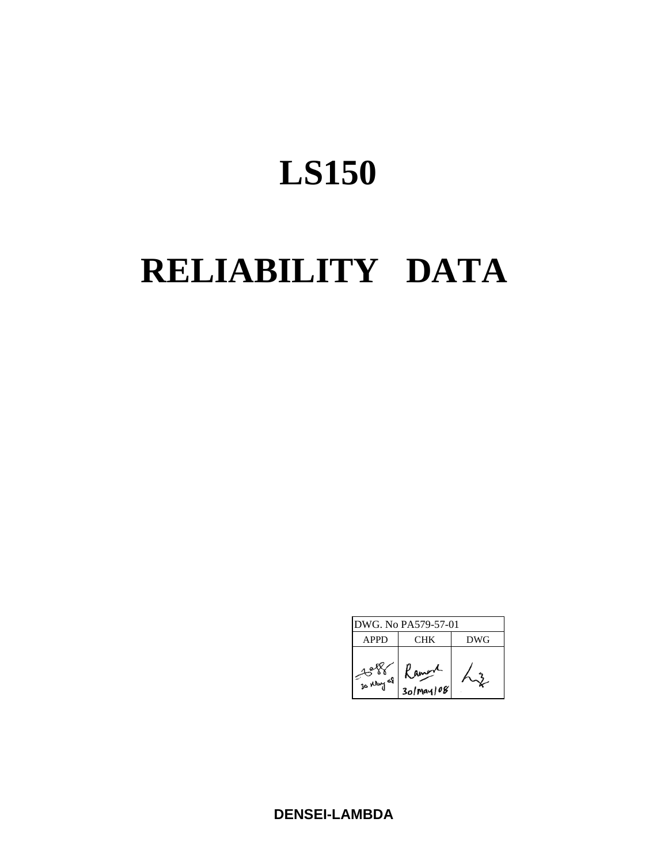# **RELIABILITY DATA**

| DWG. No PA579-57-01 |                         |     |  |  |  |
|---------------------|-------------------------|-----|--|--|--|
| <b>APPD</b>         | CHK                     | DWG |  |  |  |
| 30 May 68           | amere<br>$30$ May $108$ |     |  |  |  |

**DENSEI-LAMBDA**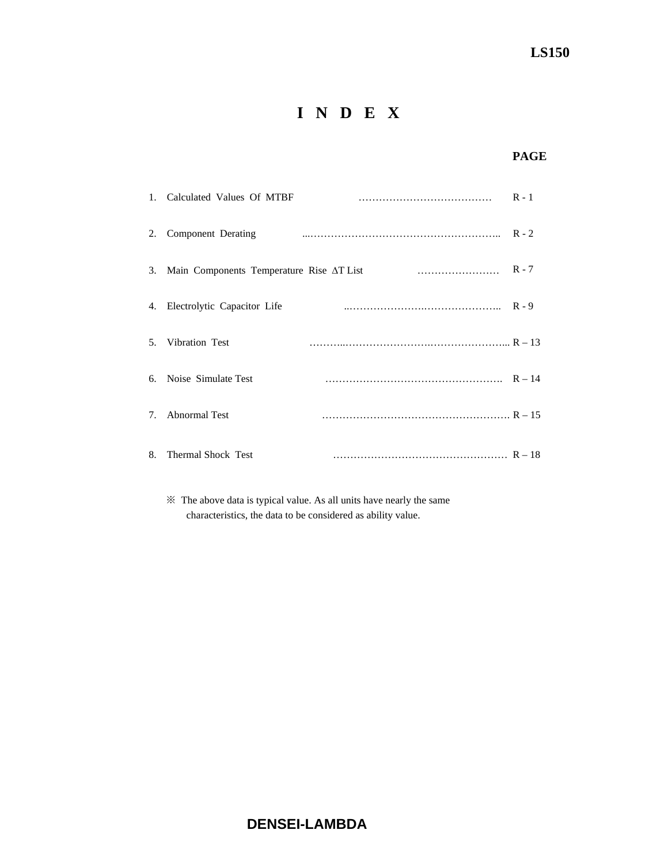# **I N D E X**

### **PAGE**

|                                  | 1. Calculated Values Of MTBF             | $R - 1$ |
|----------------------------------|------------------------------------------|---------|
| 2.                               | Component Derating                       |         |
| 3.                               | Main Components Temperature Rise AT List |         |
| 4.                               | Electrolytic Capacitor Life              |         |
| 5.                               | Vibration Test                           |         |
|                                  | 6. Noise Simulate Test                   |         |
| $7_{\scriptscriptstyle{\ddots}}$ | <b>Abnormal Test</b>                     |         |
| 8.                               | <b>Thermal Shock Test</b>                |         |

 ※ The above data is typical value. As all units have nearly the same characteristics, the data to be considered as ability value.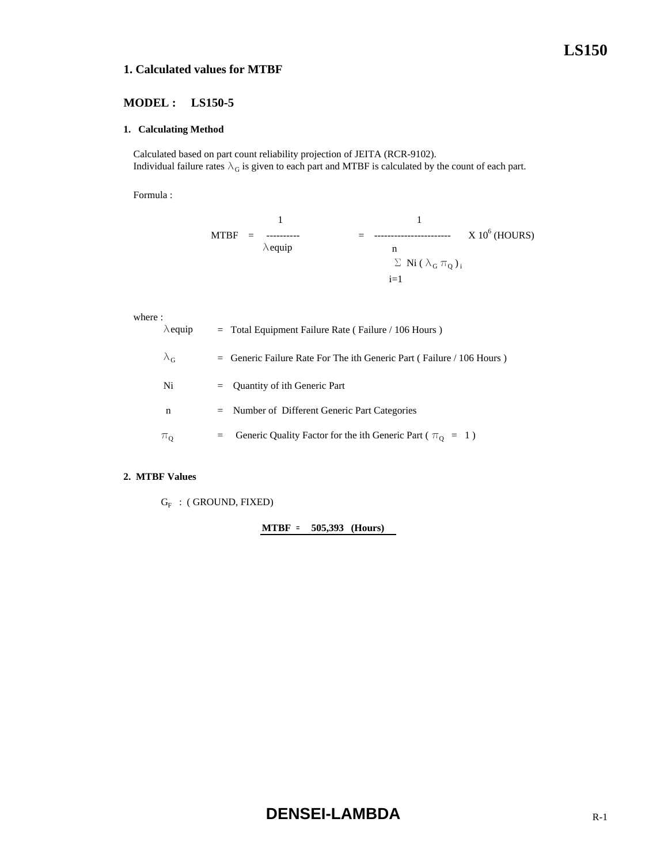#### **1. Calculated values for MTBF**

#### **MODEL : LS150-5**

#### **1. Calculating Method**

 Calculated based on part count reliability projection of JEITA (RCR-9102). Individual failure rates  $\lambda_G$  is given to each part and MTBF is calculated by the count of each part.

Formula :

$$
\begin{array}{rcl}\n & 1 & 1 \\
MTBF & = & \dots & \dots \\
\lambda \text{equiv} & & & \\
\hline\n\lambda \text{equiv} & & & \\
\text{for } \lambda_{\text{G}} \text{min} & & \\
\text{for } \lambda_{\text{G}} \text{min} & & \\
\text{for } \lambda_{\text{G}} \text{min} & & \\
\text{for } \lambda_{\text{G}} \text{min} & & \\
\text{for } \lambda_{\text{G}} \text{min} & & \\
\text{for } \lambda_{\text{G}} \text{min} & & \\
\text{for } \lambda_{\text{G}} \text{min} & & \\
\text{for } \lambda_{\text{G}} \text{min} & & \\
\text{for } \lambda_{\text{G}} \text{min} & & \\
\text{for } \lambda_{\text{G}} \text{min} & & \\
\text{for } \lambda_{\text{G}} \text{min} & & \\
\text{for } \lambda_{\text{G}} \text{min} & & \\
\text{for } \lambda_{\text{G}} \text{min} & & \\
\text{for } \lambda_{\text{G}} \text{min} & & \\
\text{for } \lambda_{\text{G}} \text{min} & & \\
\text{for } \lambda_{\text{G}} \text{min} & & \\
\text{for } \lambda_{\text{G}} \text{min} & & \\
\text{for } \lambda_{\text{G}} \text{min} & & \\
\text{for } \lambda_{\text{G}} \text{min} & & \\
\text{for } \lambda_{\text{G}} \text{min} & & \\
\text{for } \lambda_{\text{G}} \text{min} & & \\
\text{for } \lambda_{\text{G}} \text{min} & & \\
\text{for } \lambda_{\text{G}} \text{min} & & \\
\text{for } \lambda_{\text{G}} \text{min} & & \\
\text{for } \lambda_{\text{G}} \text{min} & & \\
\text{for } \lambda_{\text{G}} \text{min} & & \\
\text{for } \lambda_{\text{G}} \text{min} & & \\
\text{for } \lambda_{\text{G}} \text{min} & & \\
\text{for } \lambda_{\text{G}} \text{min} & & \\
\text{for } \lambda_{\text{G}} \text{min} & & \\
\text{for } \lambda_{\text{G}} \text{min} & & \\
\text{for } \lambda_{\text{G}} \text{min} & & \\
\text{for } \lambda_{\text{G}} \text{min} & & \\
\text{for } \lambda_{\text{G}} \
$$

#### where :

| $\lambda$ equip   | $=$ Total Equipment Failure Rate (Failure / 106 Hours)                  |
|-------------------|-------------------------------------------------------------------------|
| $\lambda_{\rm G}$ | $=$ Generic Failure Rate For The ith Generic Part (Failure / 106 Hours) |
| Ni                | $=$ Quantity of ith Generic Part                                        |
| n                 | $=$ Number of Different Generic Part Categories                         |
| $\pi_0$           | Generic Quality Factor for the ith Generic Part ( $\pi_0 = 1$ )<br>$=$  |

#### **2. MTBF Values**

 $G_F$  : (GROUND, FIXED)

**MTBF = 505,393 (Hours)**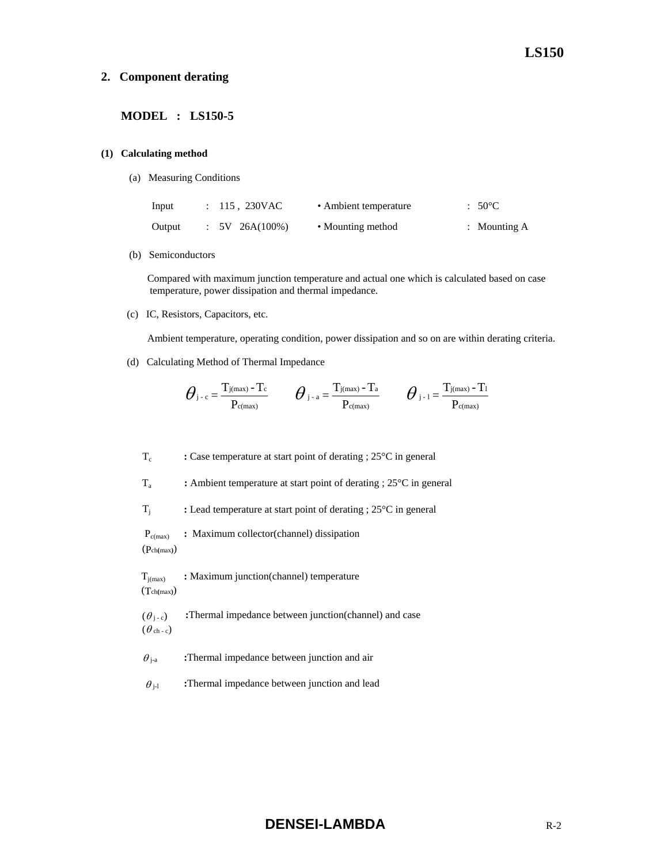#### **2. Component derating**

#### **MODEL : LS150-5**

#### **(1) Calculating method**

(a) Measuring Conditions

| Input  | : 115, 230VAC  | • Ambient temperature | $:50^{\circ}$ C |
|--------|----------------|-----------------------|-----------------|
| Output | $5V$ 26A(100%) | • Mounting method     | : Mounting $A$  |

(b) Semiconductors

 Compared with maximum junction temperature and actual one which is calculated based on case temperature, power dissipation and thermal impedance.

(c) IC, Resistors, Capacitors, etc.

Ambient temperature, operating condition, power dissipation and so on are within derating criteria.

(d) Calculating Method of Thermal Impedance

$$
\boldsymbol{\theta}_{\text{j-c}}\!=\!\frac{T_{\text{j}(max)}-T_{\text{c}}}{P_{\text{c}(max)}}\qquad \boldsymbol{\theta}_{\text{j-a}}\!=\!\frac{T_{\text{j}(max)}-T_{\text{a}}}{P_{\text{c}(max)}}\qquad \boldsymbol{\theta}_{\text{j-1}}\!=\!\frac{T_{\text{j}(max)}-T_{\text{1}}}{P_{\text{c}(max)}}
$$

Tc **:** Case temperature at start point of derating ; 25°C in general

Ta **:** Ambient temperature at start point of derating ; 25°C in general

Tj **:** Lead temperature at start point of derating ; 25°C in general

 Pc(max) **:** Maximum collector(channel) dissipation (Pch**(**max**)**)

**T**<sub>j(max)</sub> : Maximum junction(channel) temperature (Tch**(**max**)**)

 $(\theta_{i-c})$  **:**Thermal impedance between junction(channel) and case  $(\theta_{ch-c})$ 

 $\theta_{j-a}$  **:**Thermal impedance between junction and air

 $\theta_{j-l}$  **:**Thermal impedance between junction and lead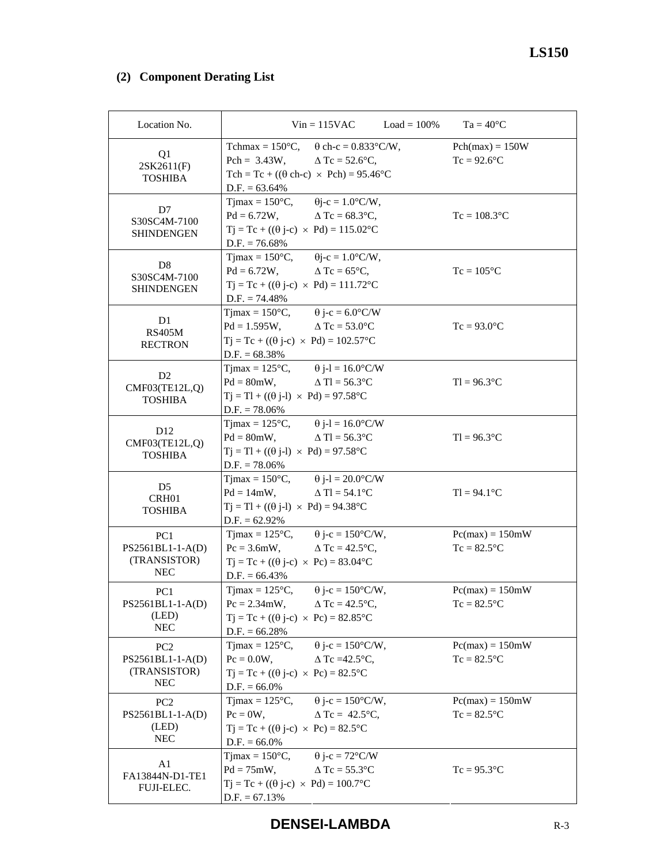# **(2) Component Derating List**

| Location No.                                                      |                                                                                                                                                                                           | $Vin = 115VAC$                                               | $Load = 100\%$ | $Ta = 40^{\circ}C$                  |
|-------------------------------------------------------------------|-------------------------------------------------------------------------------------------------------------------------------------------------------------------------------------------|--------------------------------------------------------------|----------------|-------------------------------------|
| Q1<br>2SK2611(F)<br><b>TOSHIBA</b>                                | Tchmax = $150^{\circ}$ C, $\theta$ ch-c = $0.833^{\circ}$ C/W,<br>Pch = $3.43W$ , $\Delta Tc = 52.6^{\circ}C$ ,<br>Tch = Tc + ( $(\theta$ ch-c) × Pch) = 95.46°C<br>$D.F. = 63.64\%$      |                                                              |                | $Pch(max) = 150W$<br>$Tc = 92.6$ °C |
| D7<br>S30SC4M-7100<br><b>SHINDENGEN</b>                           | Tjmax = $150^{\circ}$ C, $\qquad \theta$ j-c = $1.0^{\circ}$ C/W,<br>$Pd = 6.72W,$ $\Delta Tc = 68.3^{\circ}C,$<br>$Tj = Tc + ((\theta j - c) \times Pd) = 115.02$ °C<br>$D.F. = 76.68\%$ |                                                              |                | $Tc = 108.3$ °C                     |
| D <sub>8</sub><br>S30SC4M-7100<br><b>SHINDENGEN</b>               | Tjmax = $150^{\circ}$ C, $\theta$ j-c = $1.0^{\circ}$ C/W,<br>$Pd = 6.72W,$<br>$Tj = Tc + ((\theta j - c) \times Pd) = 111.72$ °C<br>$D.F. = 74.48\%$                                     | $\Delta$ Tc = 65 $^{\circ}$ C,                               |                | $Tc = 105$ °C                       |
| D <sub>1</sub><br><b>RS405M</b><br><b>RECTRON</b>                 | Tjmax = $150^{\circ}$ C, $\theta$ j-c = 6.0°C/W<br>$Pd = 1.595W,$ $\Delta Tc = 53.0^{\circ}C$<br>$Tj = Tc + ((\theta j - c) \times Pd) = 102.57$ °C<br>$D.F. = 68.38\%$                   |                                                              |                | $Tc = 93.0$ °C                      |
| D <sub>2</sub><br>CMF03(TE12L,Q)<br><b>TOSHIBA</b>                | Tjmax = $125^{\circ}$ C, $\theta$ j-l = $16.0^{\circ}$ C/W<br>$Pd = 80mW,$ $\Delta Tl = 56.3^{\circ}C$<br>$Tj = Tl + ((\theta j-l) \times Pd) = 97.58$ °C<br>$D.F. = 78.06\%$             |                                                              |                | $T = 96.3$ °C                       |
| D <sub>12</sub><br>CMF03(TE12L,Q)<br><b>TOSHIBA</b>               | Tjmax = $125^{\circ}$ C, $\theta$ j-l = $16.0^{\circ}$ C/W<br>$Pd = 80mW,$ $\Delta Tl = 56.3^{\circ}C$<br>$Tj = Tl + ((\theta j-l) \times Pd) = 97.58$ °C<br>$D.F. = 78.06\%$             |                                                              |                | $T = 96.3$ °C                       |
| D <sub>5</sub><br>CRH01<br><b>TOSHIBA</b>                         | Tjmax = $150^{\circ}$ C, $\theta$ j-l = $20.0^{\circ}$ C/W<br>$Pd = 14mW$ , $\Delta Tl = 54.1^{\circ}C$<br>$Tj = Tl + ((\theta j-l) \times Pd) = 94.38$ °C<br>$D.F. = 62.92\%$            |                                                              |                | $TI = 94.1$ °C                      |
| PC1<br>PS2561BL1-1-A(D)<br>(TRANSISTOR)<br><b>NEC</b>             | Tjmax = $125^{\circ}$ C, $\theta$ j-c = $150^{\circ}$ C/W,<br>$Pc = 3.6$ mW, $\Delta Tc = 42.5$ °C,<br>$Tj = Tc + ((\theta j - c) \times Pc) = 83.04$ °C<br>$D.F. = 66.43\%$              |                                                              |                | $Pc(max) = 150mW$<br>$Tc = 82.5$ °C |
| PC1<br>$PS2561BL1-1-A(D)$<br>(LED)<br><b>NEC</b>                  | Tjmax = $125^{\circ}$ C, $\theta$ j-c = $150^{\circ}$ C/W,<br>$Pc = 2.34$ mW,<br>$Tj = Tc + ((\theta j - c) \times Pc) = 82.85^{\circ}C$<br>$D.F. = 66.28\%$                              | $\Delta$ Tc = 42.5°C,                                        |                | $Pc(max) = 150mW$<br>$Tc = 82.5$ °C |
| PC <sub>2</sub><br>PS2561BL1-1-A(D)<br>(TRANSISTOR)<br><b>NEC</b> | $T$ jmax = 125 $\mathrm{^{\circ}C}$ ,<br>$Pc = 0.0W$ ,<br>$Tj = Tc + ((\theta j - c) \times Pc) = 82.5$ °C<br>$D.F. = 66.0\%$                                                             | $\theta$ j-c = 150°C/W,<br>$\triangle$ Tc =42.5 $\degree$ C, |                | $Pc(max) = 150mW$<br>$Tc = 82.5$ °C |
| PC <sub>2</sub><br>PS2561BL1-1-A(D)<br>(LED)<br><b>NEC</b>        | $T$ jmax = 125 $\mathrm{^{\circ}C}$ ,<br>$Pc = 0W$ ,<br>$Tj = Tc + ((\theta j - c) \times Pc) = 82.5^{\circ}C$<br>$D.F. = 66.0\%$                                                         | $\theta$ j-c = 150°C/W,<br>$\triangle$ Tc = 42.5°C,          |                | $Pc(max) = 150mW$<br>$Tc = 82.5$ °C |
| A1<br>FA13844N-D1-TE1<br>FUJI-ELEC.                               | $Tjmax = 150^{\circ}C$ ,<br>$Pd = 75mW,$<br>$Tj = Tc + ((\theta j - c) \times Pd) = 100.7$ °C<br>$D.F. = 67.13%$                                                                          | $\theta$ j-c = 72°C/W<br>$\triangle$ Tc = 55.3°C             |                | $Tc = 95.3$ °C                      |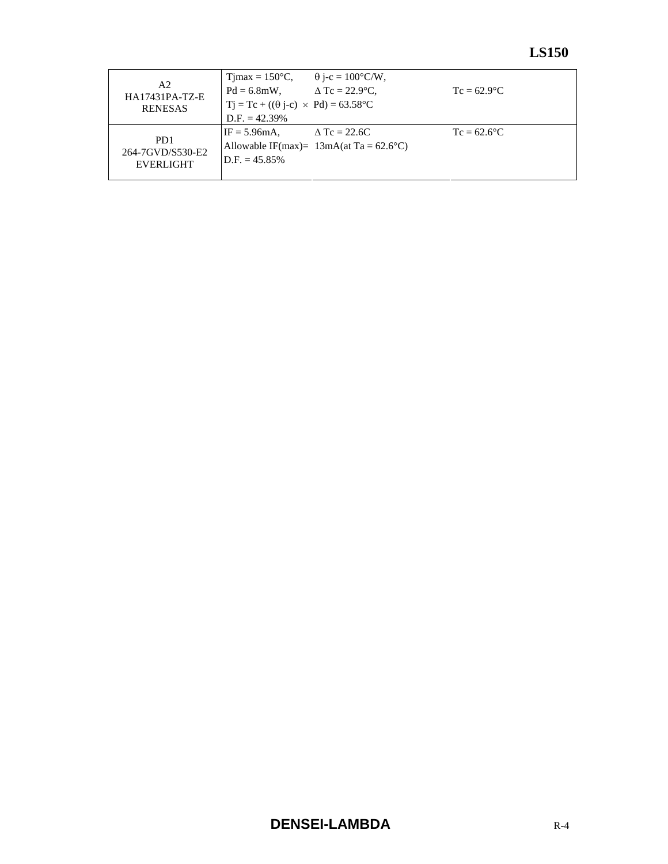|                                               | $T$ jmax = 150 $\degree$ C,                            | $\theta$ j-c = 100°C/W,                   |                |
|-----------------------------------------------|--------------------------------------------------------|-------------------------------------------|----------------|
| A2<br><b>HA17431PA-TZ-E</b><br><b>RENESAS</b> | $Pd = 6.8$ mW,                                         | $\Delta$ Tc = 22.9°C.                     | $Tc = 62.9$ °C |
|                                               | $T_1 = Tc + ((\theta i-c) \times Pd) = 63.58^{\circ}C$ |                                           |                |
|                                               | $D.F. = 42.39\%$                                       |                                           |                |
|                                               | $IF = 5.96mA$ .                                        | $\triangle$ Tc = 22.6C                    | $Tc = 62.6$ °C |
| P <sub>D</sub> 1<br>264-7GVD/S530-E2          |                                                        | Allowable IF(max)= $13mA(at Ta = 62.6°C)$ |                |
| <b>EVERLIGHT</b>                              | $D.F. = 45.85\%$                                       |                                           |                |
|                                               |                                                        |                                           |                |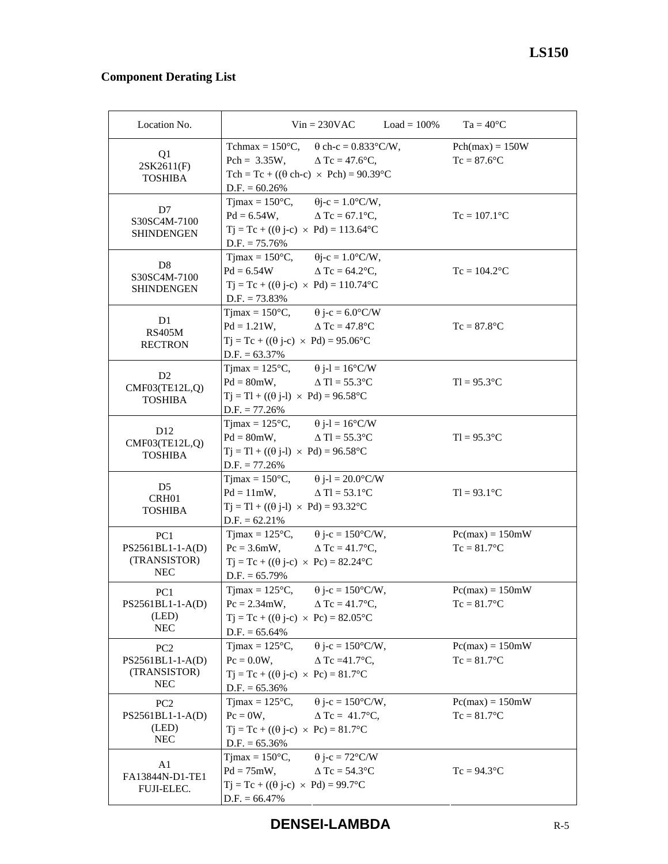# **Component Derating List**

| Location No.                                                      |                                                                                                                                                                                       | $Vin = 230VAC$ $Load = 100\%$                               | $Ta = 40^{\circ}C$                  |
|-------------------------------------------------------------------|---------------------------------------------------------------------------------------------------------------------------------------------------------------------------------------|-------------------------------------------------------------|-------------------------------------|
| Q1<br>2SK2611(F)<br><b>TOSHIBA</b>                                | Tchmax = $150^{\circ}$ C,<br>Pch = $3.35W$ , $\Delta$ Tc = 47.6°C,<br>Tch = Tc + $((\theta \text{ ch-c}) \times \text{Pch}) = 90.39$ °C<br>$D.F. = 60.26\%$                           | $\theta$ ch-c = 0.833°C/W,                                  | $Pch(max) = 150W$<br>$Tc = 87.6$ °C |
| D7<br>S30SC4M-7100<br><b>SHINDENGEN</b>                           | Tjmax = $150^{\circ}$ C, $\theta$ j-c = $1.0^{\circ}$ C/W,<br>$Pd = 6.54W,$<br>$Tj = Tc + ((\theta j - c) \times Pd) = 113.64$ °C<br>$D.F. = 75.76\%$                                 | $\Delta$ Tc = 67.1 $\degree$ C,                             | $Tc = 107.1$ °C                     |
| D <sub>8</sub><br>S30SC4M-7100<br><b>SHINDENGEN</b>               | Tjmax = $150^{\circ}$ C, $\theta$ j-c = $1.0^{\circ}$ C/W,<br>$Pd = 6.54W$<br>$Tj = Tc + ((\theta j - c) \times Pd) = 110.74$ °C<br>$D.F. = 73.83\%$                                  | $\Delta$ Tc = 64.2°C,                                       | $Tc = 104.2$ <sup>o</sup> C         |
| D <sub>1</sub><br><b>RS405M</b><br><b>RECTRON</b>                 | Tjmax = $150^{\circ}$ C, $\theta$ j-c = $6.0^{\circ}$ C/W<br>$Pd = 1.21W,$ $\Delta Tc = 47.8$ °C<br>$Tj = Tc + ((\theta j - c) \times Pd) = 95.06^{\circ}C$<br>$D.F. = 63.37\%$       |                                                             | $Tc = 87.8$ °C                      |
| D <sub>2</sub><br>CMF03(TE12L,Q)<br><b>TOSHIBA</b>                | Tjmax = $125^{\circ}$ C, $\theta$ j-l = $16^{\circ}$ C/W<br>$Pd = 80mW$ , $\triangle Tl = 55.3^{\circ}C$<br>$Tj = Tl + ((\theta j-l) \times Pd) = 96.58^{\circ}C$<br>$D.F. = 77.26\%$ |                                                             | $T = 95.3$ °C                       |
| D <sub>12</sub><br>CMF03(TE12L,Q)<br><b>TOSHIBA</b>               | Tjmax = $125^{\circ}$ C, $\theta$ j-l = $16^{\circ}$ C/W<br>$Pd = 80mW$ , $\Delta Tl = 55.3^{\circ}C$<br>$Tj = Tl + ((\theta j-l) \times Pd) = 96.58^{\circ}C$<br>$D.F. = 77.26\%$    |                                                             | $T = 95.3$ °C                       |
| D <sub>5</sub><br>CRH <sub>01</sub><br><b>TOSHIBA</b>             | Tjmax = $150^{\circ}$ C, $\theta$ j-l = $20.0^{\circ}$ C/W<br>$Pd = 11mW,$<br>$Tj = Tl + ((\theta j-l) \times Pd) = 93.32^{\circ}C$<br>$D.F. = 62.21\%$                               | $\Delta$ Tl = 53.1°C                                        | $TI = 93.1$ °C                      |
| PC <sub>1</sub><br>PS2561BL1-1-A(D)<br>(TRANSISTOR)<br><b>NEC</b> | Tjmax = $125^{\circ}$ C, $\theta$ j-c = $150^{\circ}$ C/W,<br>$Pc = 3.6$ mW, $\Delta Tc = 41.7$ °C,<br>$Tj = Tc + ((\theta j - c) \times Pc) = 82.24$ °C<br>$D.F. = 65.79\%$          |                                                             | $Pc(max) = 150mW$<br>$Tc = 81.7$ °C |
| PC <sub>1</sub><br>PS2561BL1-1-A(D)<br>(LED)<br><b>NEC</b>        | $T$ jmax = 125 $\mathrm{^{\circ}C}$ ,<br>$Pc = 2.34$ mW,<br>$Tj = Tc + ((\theta j - c) \times Pc) = 82.05^{\circ}C$<br>$D.F. = 65.64\%$                                               | $\theta$ j-c = 150°C/W,<br>$\Delta$ Tc = 41.7°C,            | $Pc(max) = 150mW$<br>$Tc = 81.7$ °C |
| PC <sub>2</sub><br>PS2561BL1-1-A(D)<br>(TRANSISTOR)<br><b>NEC</b> | Timax = $125^{\circ}$ C,<br>$Pc = 0.0W$ ,<br>$Tj = Tc + ((\theta j - c) \times Pc) = 81.7$ °C<br>$D.F. = 65.36\%$                                                                     | $\theta$ j-c = 150°C/W,<br>$\triangle$ Tc =41.7°C,          | $Pc(max) = 150mW$<br>$Tc = 81.7$ °C |
| PC <sub>2</sub><br>PS2561BL1-1-A(D)<br>(LED)<br><b>NEC</b>        | Tjmax = $125^{\circ}$ C,<br>$Pc = 0W$ ,<br>$Tj = Tc + ((\theta j - c) \times Pc) = 81.7$ °C<br>$D.F. = 65.36\%$                                                                       | $\theta$ j-c = 150°C/W,<br>$\Delta$ Tc = 41.7°C,            | $Pc(max) = 150mW$<br>$Tc = 81.7$ °C |
| A1<br>FA13844N-D1-TE1<br>FUJI-ELEC.                               | $Tjmax = 150^{\circ}C$ ,<br>$Pd = 75mW,$<br>$Tj = Tc + ((\theta j - c) \times Pd) = 99.7^{\circ}C$<br>$D.F. = 66.47\%$                                                                | $\theta$ j-c = 72°C/W<br>$\triangle$ Tc = 54.3 $^{\circ}$ C | $Tc = 94.3$ °C                      |

**DENSEI-LAMBDA** R-5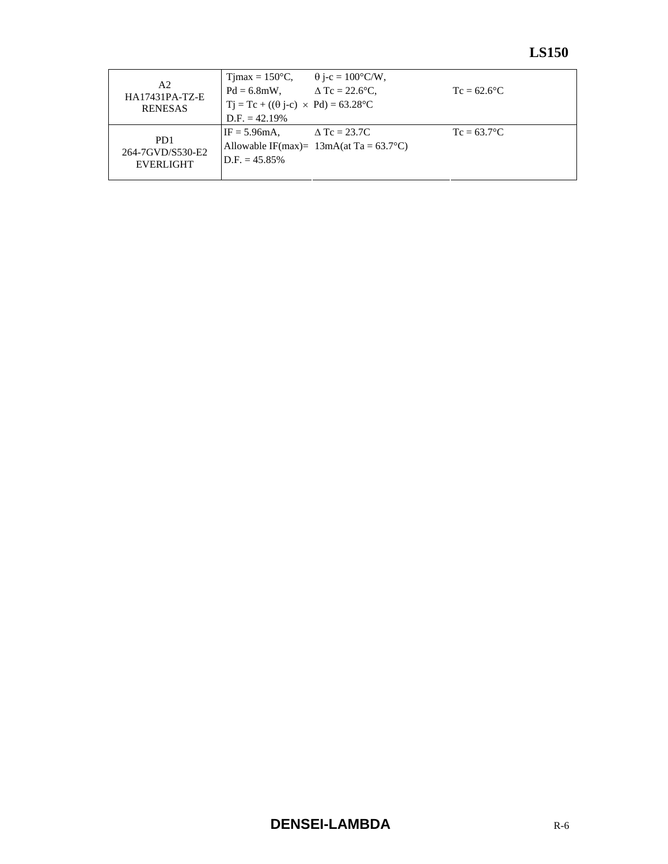|                                               | $T$ jmax = 150 $\degree$ C,                       | $\theta$ j-c = 100°C/W,                   |                |
|-----------------------------------------------|---------------------------------------------------|-------------------------------------------|----------------|
| A2<br><b>HA17431PA-TZ-E</b><br><b>RENESAS</b> | $Pd = 6.8$ mW,                                    | $\triangle$ Tc = 22.6 $\degree$ C,        | $Tc = 62.6$ °C |
|                                               | $Tj = Tc + ((\theta j - c) \times Pd) = 63.28$ °C |                                           |                |
|                                               | $D.F. = 42.19\%$                                  |                                           |                |
|                                               | $IF = 5.96mA$ ,                                   | $\triangle$ Tc = 23.7C                    | $Tc = 63.7$ °C |
| P <sub>D</sub> 1<br>264-7GVD/S530-E2          |                                                   | Allowable IF(max)= $13mA(at Ta = 63.7°C)$ |                |
| EVERLIGHT                                     | $D.F. = 45.85\%$                                  |                                           |                |
|                                               |                                                   |                                           |                |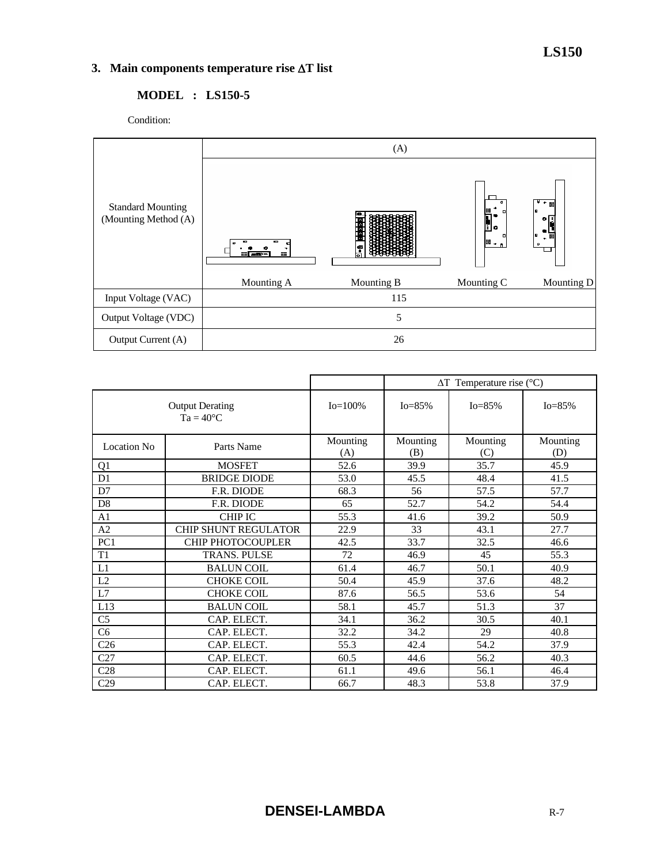## **3. Main components temperature rise** ∆**T list**

# **MODEL : LS150-5**

Condition:



|                                              |                             |                 | $\Delta T$ Temperature rise (°C) |                 |                 |
|----------------------------------------------|-----------------------------|-----------------|----------------------------------|-----------------|-----------------|
| <b>Output Derating</b><br>$Ta = 40^{\circ}C$ |                             | $Io = 100\%$    | $I_0 = 85\%$                     | $I_0 = 85\%$    | $Io = 85%$      |
| Location No.                                 | Parts Name                  | Mounting<br>(A) | Mounting<br>(B)                  | Mounting<br>(C) | Mounting<br>(D) |
| Q1                                           | <b>MOSFET</b>               | 52.6            | 39.9                             | 35.7            | 45.9            |
| D <sub>1</sub>                               | <b>BRIDGE DIODE</b>         | 53.0            | 45.5                             | 48.4            | 41.5            |
| D7                                           | F.R. DIODE                  | 68.3            | 56                               | 57.5            | 57.7            |
| D <sub>8</sub>                               | F.R. DIODE                  | 65              | 52.7                             | 54.2            | 54.4            |
| A <sub>1</sub>                               | <b>CHIP IC</b>              | 55.3            | 41.6                             | 39.2            | 50.9            |
| A <sub>2</sub>                               | <b>CHIP SHUNT REGULATOR</b> | 22.9            | 33                               | 43.1            | 27.7            |
| PC <sub>1</sub>                              | <b>CHIP PHOTOCOUPLER</b>    | 42.5            | 33.7                             | 32.5            | 46.6            |
| T <sub>1</sub>                               | <b>TRANS. PULSE</b>         | 72              | 46.9                             | 45              | 55.3            |
| L1                                           | <b>BALUN COIL</b>           | 61.4            | 46.7                             | 50.1            | 40.9            |
| L2                                           | <b>CHOKE COIL</b>           | 50.4            | 45.9                             | 37.6            | 48.2            |
| L7                                           | <b>CHOKE COIL</b>           | 87.6            | 56.5                             | 53.6            | 54              |
| L13                                          | <b>BALUN COIL</b>           | 58.1            | 45.7                             | 51.3            | 37              |
| C <sub>5</sub>                               | CAP. ELECT.                 | 34.1            | 36.2                             | 30.5            | 40.1            |
| C <sub>6</sub>                               | CAP. ELECT.                 | 32.2            | 34.2                             | 29              | 40.8            |
| C <sub>26</sub>                              | CAP. ELECT.                 | 55.3            | 42.4                             | 54.2            | 37.9            |
| C27                                          | CAP. ELECT.                 | 60.5            | 44.6                             | 56.2            | 40.3            |
| C28                                          | CAP. ELECT.                 | 61.1            | 49.6                             | 56.1            | 46.4            |
| C29                                          | CAP. ELECT.                 | 66.7            | 48.3                             | 53.8            | 37.9            |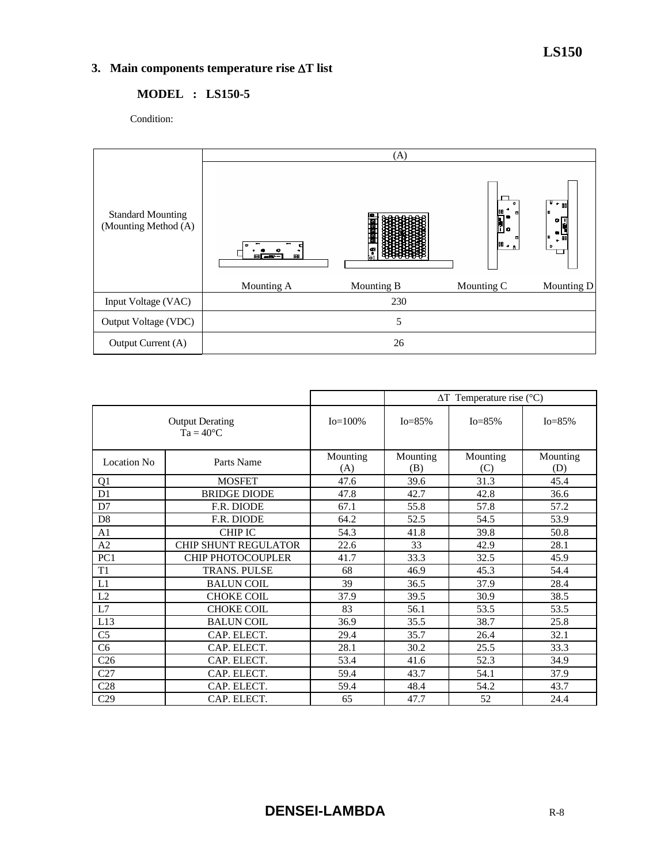# **3. Main components temperature rise** ∆**T list**

#### **MODEL : LS150-5**

Condition:



|                                              |                             |                 | $\Delta T$ Temperature rise (°C) |                 |                 |
|----------------------------------------------|-----------------------------|-----------------|----------------------------------|-----------------|-----------------|
| <b>Output Derating</b><br>$Ta = 40^{\circ}C$ |                             | $Io = 100\%$    | $Io = 85%$                       | $Io = 85\%$     | $Io = 85%$      |
| <b>Location No</b>                           | Parts Name                  | Mounting<br>(A) | Mounting<br>(B)                  | Mounting<br>(C) | Mounting<br>(D) |
| Q <sub>1</sub>                               | <b>MOSFET</b>               | 47.6            | 39.6                             | 31.3            | 45.4            |
| D <sub>1</sub>                               | <b>BRIDGE DIODE</b>         | 47.8            | 42.7                             | 42.8            | 36.6            |
| D7                                           | F.R. DIODE                  | 67.1            | 55.8                             | 57.8            | 57.2            |
| D <sub>8</sub>                               | F.R. DIODE                  | 64.2            | 52.5                             | 54.5            | 53.9            |
| A <sub>1</sub>                               | <b>CHIP IC</b>              | 54.3            | 41.8                             | 39.8            | 50.8            |
| A2                                           | <b>CHIP SHUNT REGULATOR</b> | 22.6            | 33                               | 42.9            | 28.1            |
| PC <sub>1</sub>                              | <b>CHIP PHOTOCOUPLER</b>    | 41.7            | 33.3                             | 32.5            | 45.9            |
| T <sub>1</sub>                               | <b>TRANS. PULSE</b>         | 68              | 46.9                             | 45.3            | 54.4            |
| L1                                           | <b>BALUN COIL</b>           | 39              | 36.5                             | 37.9            | 28.4            |
| L2                                           | <b>CHOKE COIL</b>           | 37.9            | 39.5                             | 30.9            | 38.5            |
| L7                                           | <b>CHOKE COIL</b>           | 83              | 56.1                             | 53.5            | 53.5            |
| L13                                          | <b>BALUN COIL</b>           | 36.9            | 35.5                             | 38.7            | 25.8            |
| C <sub>5</sub>                               | CAP. ELECT.                 | 29.4            | 35.7                             | 26.4            | 32.1            |
| C <sub>6</sub>                               | CAP. ELECT.                 | 28.1            | 30.2                             | 25.5            | 33.3            |
| C <sub>26</sub>                              | CAP. ELECT.                 | 53.4            | 41.6                             | 52.3            | 34.9            |
| C27                                          | CAP. ELECT.                 | 59.4            | 43.7                             | 54.1            | 37.9            |
| C28                                          | CAP. ELECT.                 | 59.4            | 48.4                             | 54.2            | 43.7            |
| C <sub>29</sub>                              | CAP. ELECT.                 | 65              | 47.7                             | 52              | 24.4            |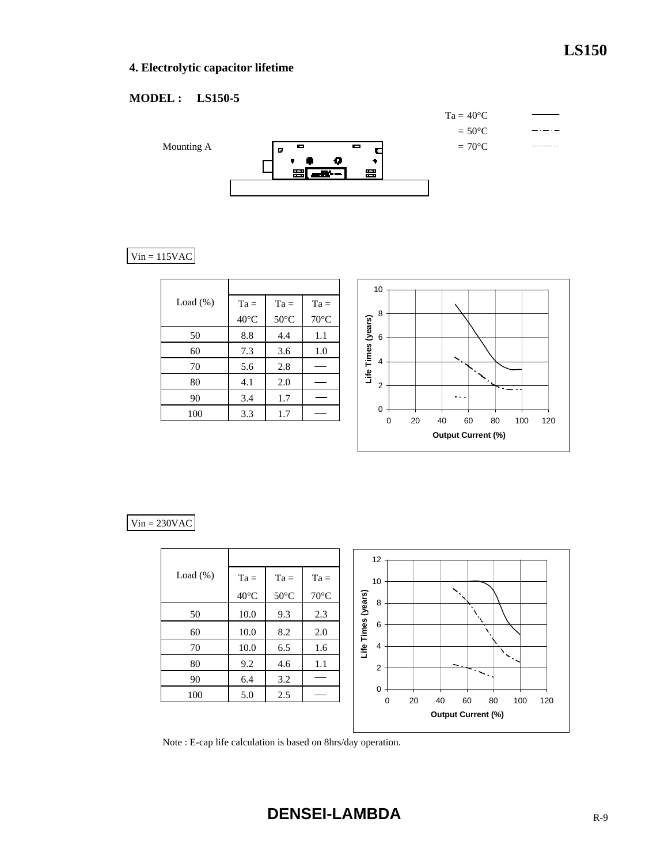## **4. Electrolytic capacitor lifetime**

### **MODEL : LS150-5**



## $Vin = 115VAC$

| Load $(\%)$ | $Ta =$         | $Ta =$         | $Ta =$         |
|-------------|----------------|----------------|----------------|
|             | $40^{\circ}$ C | $50^{\circ}$ C | $70^{\circ}$ C |
| 50          | 8.8            | 4.4            | 1.1            |
| 60          | 7.3            | 3.6            | 1.0            |
| 70          | 5.6            | 2.8            |                |
| 80          | 4.1            | 2.0            |                |
| 90          | 3.4            | 1.7            |                |
| 100         | 3.3            | 1.7            |                |



#### $Vin = 230VAC$

|             |                |                |                | 12                                                               |
|-------------|----------------|----------------|----------------|------------------------------------------------------------------|
| Load $(\%)$ | $Ta =$         | $Ta =$         | $Ta =$         | 10                                                               |
|             | $40^{\circ}$ C | $50^{\circ}$ C | $70^{\circ}$ C | 8                                                                |
| 50          | 10.0           | 9.3            | 2.3            | Life Times (years)                                               |
| 60          | 10.0           | 8.2            | 2.0            | 6                                                                |
| 70          | 10.0           | 6.5            | 1.6            | 4<br>╲                                                           |
| 80          | 9.2            | 4.6            | 1.1            | ↖<br>$\overline{\phantom{a}}$ .<br>$\overline{2}$                |
| 90          | 6.4            | 3.2            |                |                                                                  |
| 100         | 5.0            | 2.5            |                | $\mathbf 0$<br>20<br>$\mathbf 0$<br>40<br>60<br>80<br>100<br>120 |
|             |                |                |                | <b>Output Current (%)</b>                                        |

Note : E-cap life calculation is based on 8hrs/day operation.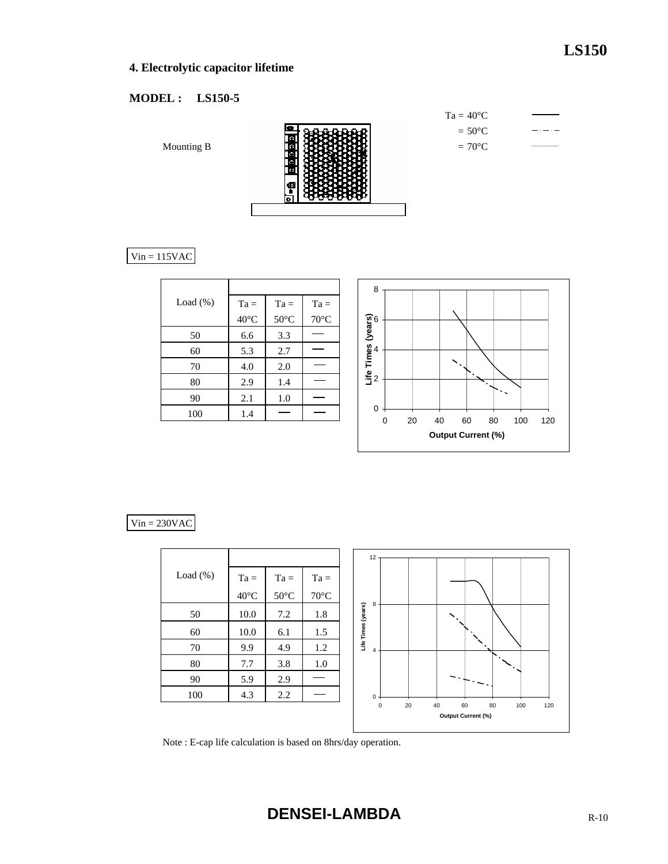# **4. Electrolytic capacitor lifetime**

# **MODEL : LS150-5**

Mounting B



| $Ta = 40^{\circ}C$ |  |
|--------------------|--|
| $= 50^{\circ}$ C   |  |
| $= 70^{\circ}$ C   |  |

# $Vin = 115VAC$

| Load $(\%)$ | $Ta =$         | $Ta =$         | $Ta =$         |
|-------------|----------------|----------------|----------------|
|             | $40^{\circ}$ C | $50^{\circ}$ C | $70^{\circ}$ C |
| 50          | 6.6            | 3.3            |                |
| 60          | 5.3            | 2.7            |                |
| 70          | 4.0            | 2.0            |                |
| 80          | 2.9            | 1.4            |                |
| 90          | 2.1            | 1.0            |                |
| 100         | 1.4            |                |                |



#### $Vin = 230VAC$

|             |                |                |                | 12                 |    |    |                    |           |     |     |
|-------------|----------------|----------------|----------------|--------------------|----|----|--------------------|-----------|-----|-----|
| Load $(\%)$ | $Ta =$         | $Ta =$         | $Ta =$         |                    |    |    |                    |           |     |     |
|             | $40^{\circ}$ C | $50^{\circ}$ C | $70^{\circ}$ C | 8                  |    |    |                    |           |     |     |
| 50          | 10.0           | 7.2            | 1.8            |                    |    |    |                    |           |     |     |
| 60          | 10.0           | 6.1            | 1.5            | Life Times (years) |    |    |                    |           |     |     |
| 70          | 9.9            | 4.9            | 1.2            | 4                  |    |    |                    |           |     |     |
| $80\,$      | 7.7            | 3.8            | 1.0            |                    |    |    |                    | $\bullet$ |     |     |
| 90          | 5.9            | 2.9            |                |                    |    |    |                    |           |     |     |
| 100         | 4.3            | 2.2            |                | 0                  |    |    |                    |           |     |     |
|             |                |                |                | $\mathsf 0$        | 20 | 40 | 60                 | 80        | 100 | 120 |
|             |                |                |                |                    |    |    | Output Current (%) |           |     |     |

Note : E-cap life calculation is based on 8hrs/day operation.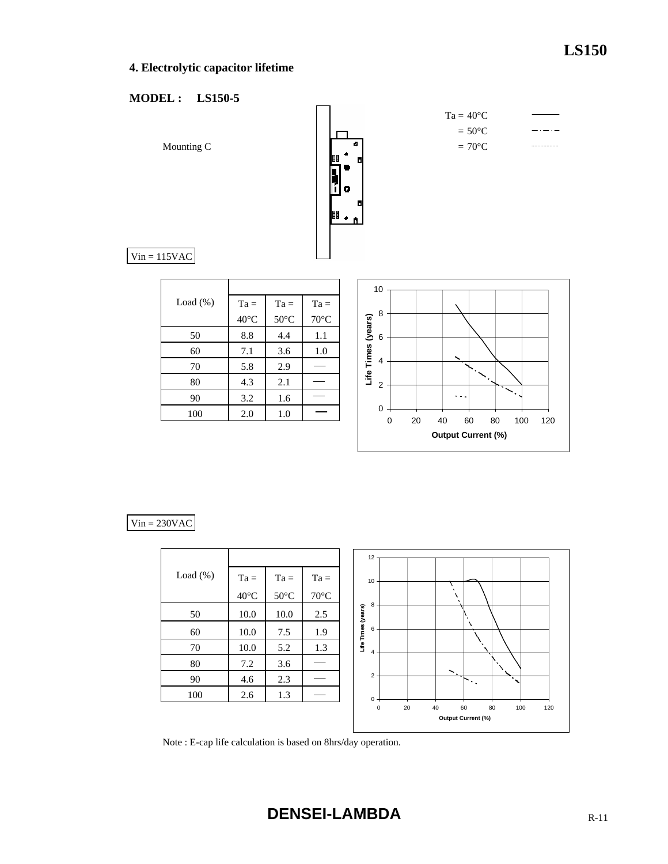## **4. Electrolytic capacitor lifetime**

#### **MODEL : LS150-5**



#### $Vin = 230VAC$

|          |                |                |                | 12                                                                                           |
|----------|----------------|----------------|----------------|----------------------------------------------------------------------------------------------|
| Load (%) | $Ta =$         | $Ta =$         | $Ta =$         | 10                                                                                           |
|          | $40^{\circ}$ C | $50^{\circ}$ C | $70^{\circ}$ C |                                                                                              |
| 50       | 10.0           | 10.0           | 2.5            | 8<br>Life Times (years)                                                                      |
| 60       | 10.0           | 7.5            | 1.9            | $\chi$<br>6                                                                                  |
| 70       | 10.0           | 5.2            | 1.3            | $\overline{4}$                                                                               |
| $80\,$   | 7.2            | 3.6            |                |                                                                                              |
| 90       | 4.6            | 2.3            |                | $\mathcal{S}_\mathcal{L}$ .<br>$\overline{2}$<br>٠<br>$\mathcal{O}(\mathcal{O}_\mathcal{A})$ |
| 100      | 2.6            | 1.3            |                | 0                                                                                            |
|          |                |                |                | 20<br>40<br>60<br>80<br>100<br>$\pmb{0}$<br>120<br>Output Current (%)                        |

Note : E-cap life calculation is based on 8hrs/day operation.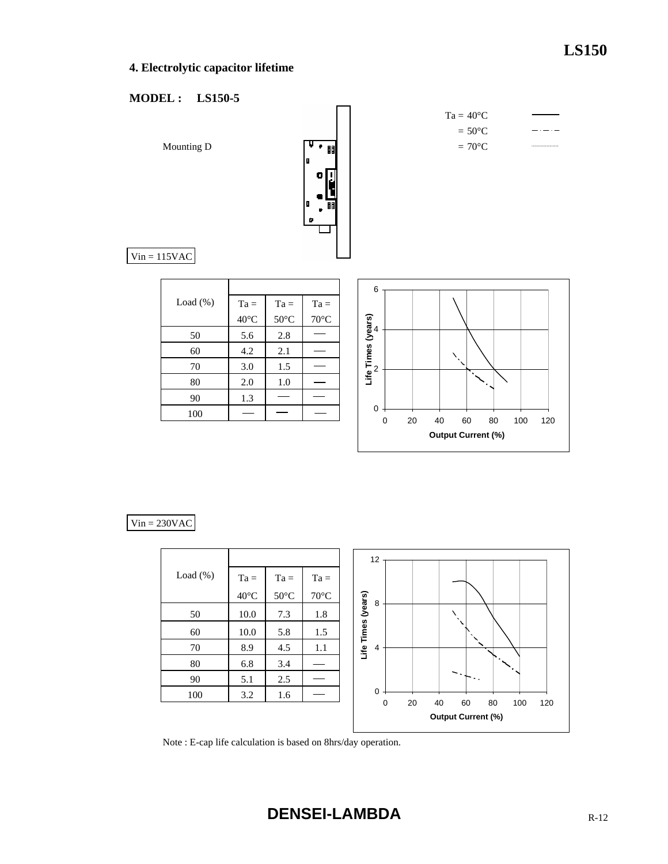## **4. Electrolytic capacitor lifetime**

#### **MODEL : LS150-5**



#### $Vin = 230VAC$

|          |                |                |                | 12                                                     |
|----------|----------------|----------------|----------------|--------------------------------------------------------|
| Load (%) | $Ta =$         | $Ta =$         | $Ta =$         |                                                        |
|          | $40^{\circ}$ C | $50^{\circ}$ C | $70^{\circ}$ C | 8                                                      |
| 50       | 10.0           | 7.3            | 1.8            | Life Times (years)                                     |
| 60       | 10.0           | 5.8            | 1.5            |                                                        |
| $70\,$   | 8.9            | 4.5            | 1.1            | 4                                                      |
| $80\,$   | 6.8            | 3.4            |                |                                                        |
| 90       | 5.1            | 2.5            |                | $\ddotsc$                                              |
| 100      | 3.2            | 1.6            |                | $\mathbf 0$<br>20<br>0<br>40<br>60<br>80<br>100<br>120 |
|          |                |                |                | <b>Output Current (%)</b>                              |

Note : E-cap life calculation is based on 8hrs/day operation.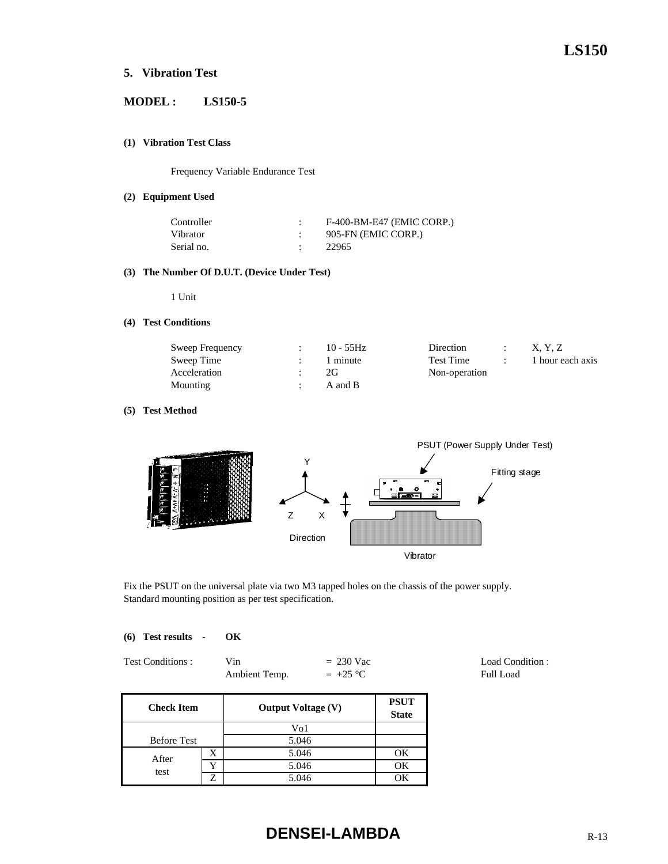#### **5. Vibration Test**

#### **MODEL : LS150-5**

#### **(1) Vibration Test Class**

Frequency Variable Endurance Test

#### **(2) Equipment Used**

| Controller | F-400-BM-E47 (EMIC CORP.) |
|------------|---------------------------|
| Vibrator   | 905-FN (EMIC CORP.)       |
| Serial no. | 22965                     |

#### **(3) The Number Of D.U.T. (Device Under Test)**

1 Unit

#### **(4) Test Conditions**

| Sweep Frequency | $10 - 55$ Hz | Direction | X. Y. Z          |
|-----------------|--------------|-----------|------------------|
| Sweep Time      | 1 minute     | Test Time | 1 hour each axis |
| Acceleration    | 2G           |           |                  |
| Mounting        | A and B      |           |                  |

#### **(5) Test Method**



Fix the PSUT on the universal plate via two M3 tapped holes on the chassis of the power supply. Standard mounting position as per test specification.

|  | (6) Test results | OК |
|--|------------------|----|
|  |                  |    |

| Test Conditions: | Vin           | $= 230$ Vac |
|------------------|---------------|-------------|
|                  | Ambient Temp. | $= +25 °C$  |

**PSUT State** Before Test X 1 5.046 1 OK Y OK test 5.046 Z 5.046 OK **Check Item** Vo1 5.046 **Output Voltage (V)** After

# **DENSEI-LAMBDA** R-13

Load Condition : Full Load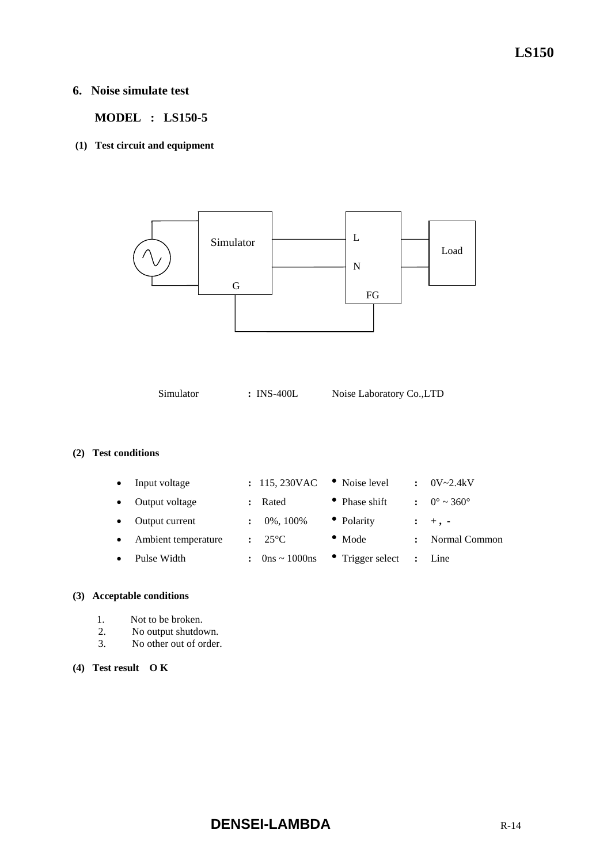#### **6. Noise simulate test**

 **MODEL : LS150-5** 

 **(1) Test circuit and equipment** 



Simulator **:** INS-400L Noise Laboratory Co.,LTD

#### **(2) Test conditions**

| $\bullet$ | Input voltage       |                      | : 115,230VAC    | • Noise level    | $\ddot{\phantom{a}}$ | $0V - 2.4kV$                 |
|-----------|---------------------|----------------------|-----------------|------------------|----------------------|------------------------------|
|           | Output voltage      |                      | Rated           | • Phase shift    |                      | $0^{\circ} \sim 360^{\circ}$ |
|           | Output current      | $\ddot{\phantom{a}}$ | 0%, 100%        | • Polarity       |                      | $: +$ , -                    |
| $\bullet$ | Ambient temperature |                      | $25^{\circ}$ C  | $\bullet$ Mode   |                      | Normal Common                |
|           | Pulse Width         |                      | $0$ ns ~ 1000ns | • Trigger select | $\ddot{\cdot}$       | Line                         |
|           |                     |                      |                 |                  |                      |                              |

#### **(3) Acceptable conditions**

- 1. Not to be broken.
- 2. No output shutdown.
- 3. No other out of order.

#### **(4) Test result O K**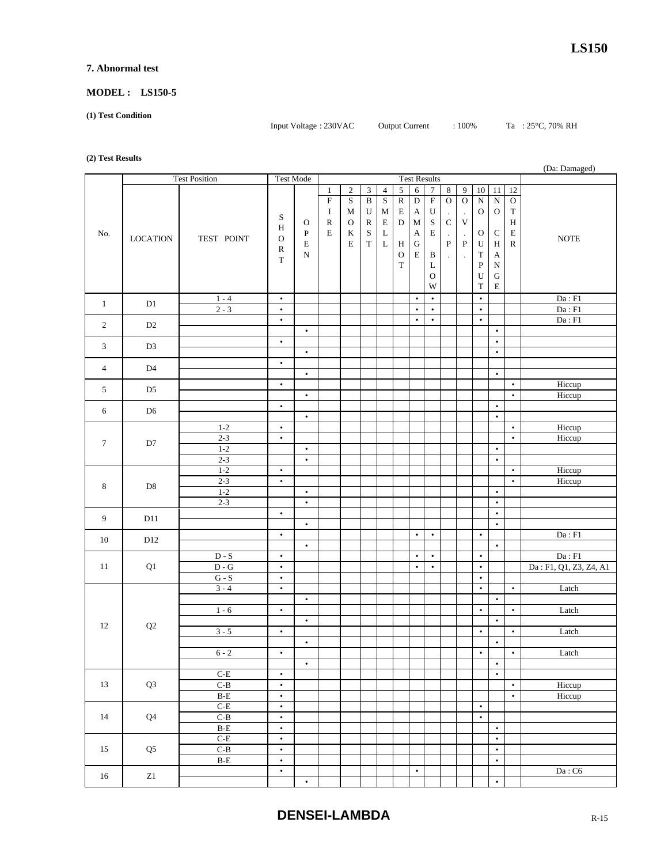#### **7. Abnormal test**

#### **MODEL : LS150-5**

**(1) Test Condition** 

Input Voltage : 230VAC Output Current : 100% Ta : 25°C, 70% RH

#### **(2) Test Results**

| $\sim$ $\sim$  |                 |                         |                        |           |              |                |                         |                |                       |                  |                           |                      |             |              |              |              | (Da: Damaged)              |
|----------------|-----------------|-------------------------|------------------------|-----------|--------------|----------------|-------------------------|----------------|-----------------------|------------------|---------------------------|----------------------|-------------|--------------|--------------|--------------|----------------------------|
|                |                 | <b>Test Position</b>    | <b>Test Mode</b>       |           |              |                |                         |                |                       |                  | <b>Test Results</b>       |                      |             |              |              |              |                            |
|                |                 |                         |                        |           | $\mathbf{1}$ | $\overline{c}$ | 3                       | $\overline{4}$ | $\sqrt{5}$            | $\epsilon$       | $\overline{7}$            | $\bf 8$              | 9           | $10\,$       | 11           | 12           |                            |
|                |                 |                         |                        |           | ${\bf F}$    | $\mathbf S$    | $\overline{\mathbf{B}}$ | $\mathbf S$    | $\overline{\text{R}}$ | $\overline{D}$   | $\overline{\mathrm{F}}$   | $\overline{0}$       | $\mathbf O$ | ${\bf N}$    | ${\bf N}$    | ${\rm O}$    |                            |
|                |                 |                         | S                      |           | $\bf{I}$     | $\mathbf M$    | ${\bf U}$               | M              | $\mathbf E$           | $\boldsymbol{A}$ | $\ensuremath{\mathbf{U}}$ | $\blacksquare$       | $\cdot$     | $\mathcal O$ | ${\rm O}$    | $\mathbf T$  |                            |
|                |                 |                         | H                      | О         | ${\bf R}$    | $\mathbf O$    | $\mathbb R$             | $\mathbf E$    | $\mathbf D$           | M                | $\mathbf S$               | $\mathbf C$          | $\mathbf V$ |              |              | $\, {\rm H}$ |                            |
| No.            | <b>LOCATION</b> | TEST POINT              | $\mathbf O$            | ${\bf P}$ | E            | $\bf K$        | $\mathbf S$             | $\mathbf L$    |                       | $\mathbf A$      | ${\bf E}$                 | $\blacksquare$       | $\cdot$     | O            | ${\bf C}$    | $\mathbf E$  | <b>NOTE</b>                |
|                |                 |                         |                        | Ε         |              | E              | $\mathbf T$             | $\mathbf L$    | $\,$ H                | ${\bf G}$        |                           | ${\bf P}$            | ${\bf P}$   | U            | $\, {\rm H}$ | $\mathbf R$  |                            |
|                |                 |                         | ${\bf R}$<br>T         | N         |              |                |                         |                | $\mathbf O$           | $\mathbf E$      | $\, {\bf B}$              | $\ddot{\phantom{a}}$ | $\cdot$     | T            | А            |              |                            |
|                |                 |                         |                        |           |              |                |                         |                | $\mathbf T$           |                  | L                         |                      |             | ${\bf P}$    | ${\bf N}$    |              |                            |
|                |                 |                         |                        |           |              |                |                         |                |                       |                  | $\circ$                   |                      |             | U            | ${\bf G}$    |              |                            |
|                |                 |                         |                        |           |              |                |                         |                |                       |                  | W                         |                      |             | T            | ${\bf E}$    |              |                            |
|                |                 | $1 - 4$                 | $\bullet$              |           |              |                |                         |                |                       | $\bullet$        | $\bullet$                 |                      |             | $\bullet$    |              |              | Da : F1                    |
| $\mathbf{1}$   | $\mathbf{D}1$   | $2 - 3$                 | $\bullet$              |           |              |                |                         |                |                       | $\bullet$        | $\bullet$                 |                      |             | $\bullet$    |              |              | $\mathrm{Da}: \mathrm{F1}$ |
|                |                 |                         | $\bullet$              |           |              |                |                         |                |                       | $\bullet$        | $\bullet$                 |                      |             | $\bullet$    |              |              | Da : F1                    |
| $\overline{2}$ | D2              |                         |                        | $\bullet$ |              |                |                         |                |                       |                  |                           |                      |             |              | $\bullet$    |              |                            |
|                |                 |                         | $\bullet$              |           |              |                |                         |                |                       |                  |                           |                      |             |              | $\bullet$    |              |                            |
| 3              | D <sub>3</sub>  |                         |                        | $\bullet$ |              |                |                         |                |                       |                  |                           |                      |             |              | $\bullet$    |              |                            |
|                |                 |                         | $\bullet$              |           |              |                |                         |                |                       |                  |                           |                      |             |              |              |              |                            |
| $\overline{4}$ | D4              |                         |                        | $\bullet$ |              |                |                         |                |                       |                  |                           |                      |             |              | $\bullet$    |              |                            |
|                |                 |                         | $\bullet$              |           |              |                |                         |                |                       |                  |                           |                      |             |              |              | $\bullet$    | Hiccup                     |
| 5              | D <sub>5</sub>  |                         |                        | $\bullet$ |              |                |                         |                |                       |                  |                           |                      |             |              |              | $\bullet$    | Hiccup                     |
|                |                 |                         | $\bullet$              |           |              |                |                         |                |                       |                  |                           |                      |             |              | $\bullet$    |              |                            |
| 6              | D <sub>6</sub>  |                         |                        | $\bullet$ |              |                |                         |                |                       |                  |                           |                      |             |              | $\bullet$    |              |                            |
|                |                 | $1 - 2$                 | $\bullet$              |           |              |                |                         |                |                       |                  |                           |                      |             |              |              | $\bullet$    | Hiccup                     |
|                |                 | $2 - 3$                 | $\bullet$              |           |              |                |                         |                |                       |                  |                           |                      |             |              |              | $\bullet$    | Hiccup                     |
| $\tau$         | D7              | $1-2$                   |                        | $\bullet$ |              |                |                         |                |                       |                  |                           |                      |             |              | $\bullet$    |              |                            |
|                |                 | $2 - 3$                 |                        | $\bullet$ |              |                |                         |                |                       |                  |                           |                      |             |              | $\bullet$    |              |                            |
|                |                 | $1-2$                   | $\bullet$              |           |              |                |                         |                |                       |                  |                           |                      |             |              |              | $\bullet$    | Hiccup                     |
|                |                 | $2 - 3$                 | $\bullet$              |           |              |                |                         |                |                       |                  |                           |                      |             |              |              | $\bullet$    | Hiccup                     |
| 8              | $\mathbf{D}8$   | $1 - 2$                 |                        | $\bullet$ |              |                |                         |                |                       |                  |                           |                      |             |              | $\bullet$    |              |                            |
|                |                 | $2 - 3$                 |                        | $\bullet$ |              |                |                         |                |                       |                  |                           |                      |             |              | $\bullet$    |              |                            |
|                |                 |                         | $\bullet$              |           |              |                |                         |                |                       |                  |                           |                      |             |              | $\bullet$    |              |                            |
| 9              | D11             |                         |                        | $\bullet$ |              |                |                         |                |                       |                  |                           |                      |             |              | $\bullet$    |              |                            |
|                |                 |                         | $\bullet$              |           |              |                |                         |                |                       | $\bullet$        | $\bullet$                 |                      |             | $\bullet$    |              |              | Da: F1                     |
| 10             | D12             |                         |                        | $\bullet$ |              |                |                         |                |                       |                  |                           |                      |             |              | $\bullet$    |              |                            |
|                |                 | $D-S$                   | $\bullet$              |           |              |                |                         |                |                       | $\bullet$        | $\bullet$                 |                      |             | $\bullet$    |              |              | $\mathrm{Da}: \mathrm{F1}$ |
| 11             | Q1              | $D - G$                 | $\bullet$              |           |              |                |                         |                |                       | $\bullet$        | $\bullet$                 |                      |             | $\bullet$    |              |              | Da: F1, Q1, Z3, Z4, A1     |
|                |                 | $G-S$                   | $\bullet$              |           |              |                |                         |                |                       |                  |                           |                      |             | $\bullet$    |              |              |                            |
|                |                 | $3 - 4$                 | $\bullet$              |           |              |                |                         |                |                       |                  |                           |                      |             | $\bullet$    |              | $\bullet$    | Latch                      |
|                |                 |                         |                        | $\bullet$ |              |                |                         |                |                       |                  |                           |                      |             |              | $\bullet$    |              |                            |
|                |                 | $1 - 6$                 | $\bullet$              |           |              |                |                         |                |                       |                  |                           |                      |             | $\bullet$    |              | $\bullet$    | Latch                      |
|                |                 |                         |                        | $\bullet$ |              |                |                         |                |                       |                  |                           |                      |             |              | $\bullet$    |              |                            |
| 12             | $\mathbf{Q}2$   | $3 - 5$                 | $\bullet$              |           |              |                |                         |                |                       |                  |                           |                      |             | $\bullet$    |              | $\bullet$    | Latch                      |
|                |                 |                         |                        | $\bullet$ |              |                |                         |                |                       |                  |                           |                      |             |              | $\bullet$    |              |                            |
|                |                 | $6 - 2$                 | ٠                      |           |              |                |                         |                |                       |                  |                           |                      |             | ٠            |              | ٠            | Latch                      |
|                |                 |                         |                        | $\bullet$ |              |                |                         |                |                       |                  |                           |                      |             |              | $\bullet$    |              |                            |
|                |                 | $C-E$                   | $\bullet$              |           |              |                |                         |                |                       |                  |                           |                      |             |              | $\bullet$    |              |                            |
| 13             | Q <sub>3</sub>  | $C-B$                   | $\bullet$              |           |              |                |                         |                |                       |                  |                           |                      |             |              |              | $\bullet$    | Hiccup                     |
|                |                 | $\operatorname{B-E}$    | $\bullet$              |           |              |                |                         |                |                       |                  |                           |                      |             |              |              | $\bullet$    | Hiccup                     |
|                |                 | $C-E$                   | $\bullet$              |           |              |                |                         |                |                       |                  |                           |                      |             | $\bullet$    |              |              |                            |
| 14             | ${\bf Q}4$      | $C-B$                   | $\bullet$              |           |              |                |                         |                |                       |                  |                           |                      |             | $\bullet$    |              |              |                            |
|                |                 | $\overline{\text{B-E}}$ | $\bullet$              |           |              |                |                         |                |                       |                  |                           |                      |             |              | $\bullet$    |              |                            |
|                |                 | $\operatorname{C-E}$    | $\bullet$              |           |              |                |                         |                |                       |                  |                           |                      |             |              | $\bullet$    |              |                            |
| 15             | Q <sub>5</sub>  | $C-B$                   | $\bullet$              |           |              |                |                         |                |                       |                  |                           |                      |             |              | $\bullet$    |              |                            |
|                |                 |                         |                        |           |              |                |                         |                |                       |                  |                           |                      |             |              | $\bullet$    |              |                            |
|                |                 | $\overline{\text{B-E}}$ | $\bullet$<br>$\bullet$ |           |              |                |                         |                |                       | $\bullet$        |                           |                      |             |              |              |              |                            |
| 16             | $\mathbf{Z} 1$  |                         |                        | $\bullet$ |              |                |                         |                |                       |                  |                           |                      |             |              | $\bullet$    |              | $\mathrm{Da}:\mathrm{C6}$  |
|                |                 |                         |                        |           |              |                |                         |                |                       |                  |                           |                      |             |              |              |              |                            |

**DENSEI-LAMBDA** R-15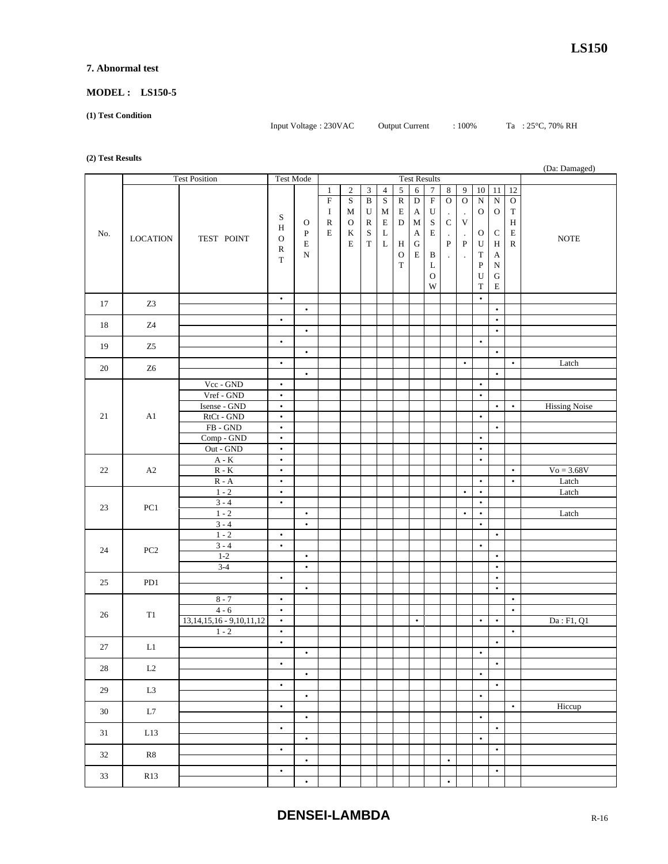#### **7. Abnormal test**

## **MODEL : LS150-5**

**(1) Test Condition** 

Input Voltage : 230VAC Output Current : 100% Ta : 25°C, 70% RH

**(2) Test Results**

| $\sim$ $\prime$ |                     |                                        |                        |              |              |                     |                         |                |              |                  |                           |                      |                      |              |             |              | (Da: Damaged)        |
|-----------------|---------------------|----------------------------------------|------------------------|--------------|--------------|---------------------|-------------------------|----------------|--------------|------------------|---------------------------|----------------------|----------------------|--------------|-------------|--------------|----------------------|
|                 |                     | <b>Test Position</b>                   | <b>Test Mode</b>       |              |              | <b>Test Results</b> |                         |                |              |                  |                           |                      |                      |              |             |              |                      |
|                 |                     |                                        |                        |              | $\mathbf{1}$ | $\sqrt{2}$          | 3                       | $\overline{4}$ | $\sqrt{5}$   | $\sqrt{6}$       | $\overline{7}$            | 8                    | 9                    | $10\,$       | 11          | 12           |                      |
|                 |                     |                                        |                        |              | ${\bf F}$    | $\rm S$             | $\overline{\mathbf{B}}$ | $\mathbf S$    | ${\bf R}$    | $\overline{D}$   | $\overline{\mathrm{F}}$   | $\mathbf O$          | $\mathcal O$         | ${\bf N}$    | ${\bf N}$   | ${\rm O}$    |                      |
|                 |                     |                                        | S                      |              | $\bf{I}$     | $\mathbf M$         | U                       | M              | E            | A                | $\ensuremath{\mathbf{U}}$ | $\bullet$            | $\cdot$              | $\mathbf{O}$ | ${\rm O}$   | $\mathbf T$  |                      |
|                 |                     |                                        | Η                      | O            | ${\bf R}$    | $\mathbf O$         | ${\bf R}$               | $\mathbf E$    | ${\bf D}$    | $\mathbf M$      | $\mathbf S$               | $\mathbf C$          | $\mathbf V$          |              |             | $\, {\rm H}$ |                      |
| No.             | <b>LOCATION</b>     | TEST POINT                             | $\mathbf O$            | $\mathbf{P}$ | $\mathbf E$  | $\bf K$             | $\mathbf S$             | $\bf L$        |              | $\boldsymbol{A}$ | $\mathbf E$               | $\blacksquare$       | $\cdot$              | O            | $\mathbf C$ | $\mathbf E$  | <b>NOTE</b>          |
|                 |                     |                                        | $\mathbb{R}$           | Е            |              | E                   | $\mathbf T$             | $\mathbf L$    | $\,$ H       | ${\bf G}$        |                           | ${\bf P}$            | ${\bf P}$            | $\mathbf U$  | H           | ${\bf R}$    |                      |
|                 |                     |                                        | $\mathbf T$            | N            |              |                     |                         |                | $\mathcal O$ | $\mathbf E$      | B                         | $\ddot{\phantom{0}}$ | $\ddot{\phantom{a}}$ | $\mathbf T$  | A           |              |                      |
|                 |                     |                                        |                        |              |              |                     |                         |                | $\mathbf T$  |                  | L                         |                      |                      | ${\bf P}$    | ${\bf N}$   |              |                      |
|                 |                     |                                        |                        |              |              |                     |                         |                |              |                  | $\mathbf O$               |                      |                      | U            | ${\bf G}$   |              |                      |
|                 |                     |                                        |                        |              |              |                     |                         |                |              |                  | W                         |                      |                      | T            | $\mathbf E$ |              |                      |
| 17              | Z <sub>3</sub>      |                                        | $\bullet$              |              |              |                     |                         |                |              |                  |                           |                      |                      | $\bullet$    |             |              |                      |
|                 |                     |                                        |                        | $\bullet$    |              |                     |                         |                |              |                  |                           |                      |                      |              | $\bullet$   |              |                      |
| 18              | Z4                  |                                        | $\bullet$              |              |              |                     |                         |                |              |                  |                           |                      |                      |              | $\bullet$   |              |                      |
|                 |                     |                                        |                        | $\bullet$    |              |                     |                         |                |              |                  |                           |                      |                      |              | $\bullet$   |              |                      |
| 19              | Z <sub>5</sub>      |                                        | $\bullet$              |              |              |                     |                         |                |              |                  |                           |                      |                      | $\bullet$    |             |              |                      |
|                 |                     |                                        |                        | $\bullet$    |              |                     |                         |                |              |                  |                           |                      |                      |              | $\bullet$   |              |                      |
| 20              | Z <sub>6</sub>      |                                        | $\bullet$              |              |              |                     |                         |                |              |                  |                           |                      | $\bullet$            |              |             | $\bullet$    | Latch                |
|                 |                     |                                        |                        | $\bullet$    |              |                     |                         |                |              |                  |                           |                      |                      |              | $\bullet$   |              |                      |
|                 |                     | Vcc - GND                              | $\bullet$              |              |              |                     |                         |                |              |                  |                           |                      |                      | $\bullet$    |             |              |                      |
|                 |                     | Vref - GND                             | $\bullet$              |              |              |                     |                         |                |              |                  |                           |                      |                      | $\bullet$    |             |              |                      |
|                 |                     | Isense - GND                           | $\bullet$              |              |              |                     |                         |                |              |                  |                           |                      |                      |              | $\bullet$   | $\bullet$    | <b>Hissing Noise</b> |
| 21              | A1                  | RtCt - GND                             | $\bullet$              |              |              |                     |                         |                |              |                  |                           |                      |                      | $\bullet$    |             |              |                      |
|                 |                     | $FB - GND$                             | $\bullet$              |              |              |                     |                         |                |              |                  |                           |                      |                      |              | $\bullet$   |              |                      |
|                 |                     | Comp - GND                             | $\bullet$              |              |              |                     |                         |                |              |                  |                           |                      |                      | $\bullet$    |             |              |                      |
|                 |                     | Out - GND                              | $\bullet$              |              |              |                     |                         |                |              |                  |                           |                      |                      | $\bullet$    |             |              |                      |
| 22              | A2                  | $\mathbf{A}$ - $\mathbf{K}$<br>$R - K$ | $\bullet$<br>$\bullet$ |              |              |                     |                         |                |              |                  |                           |                      |                      | $\bullet$    |             | $\bullet$    | $Vo = 3.68V$         |
|                 |                     | $R - A$                                | $\bullet$              |              |              |                     |                         |                |              |                  |                           |                      |                      | $\bullet$    |             | $\bullet$    | Latch                |
|                 |                     | $1 - 2$                                | $\bullet$              |              |              |                     |                         |                |              |                  |                           |                      | $\bullet$            | $\bullet$    |             |              | Latch                |
|                 |                     | $3 - 4$                                | $\bullet$              |              |              |                     |                         |                |              |                  |                           |                      |                      | $\bullet$    |             |              |                      |
| 23              | PC1                 | $1 - 2$                                |                        | $\bullet$    |              |                     |                         |                |              |                  |                           |                      | $\bullet$            | $\bullet$    |             |              | Latch                |
|                 |                     | $3 - 4$                                |                        | $\bullet$    |              |                     |                         |                |              |                  |                           |                      |                      | $\bullet$    |             |              |                      |
|                 |                     | $1 - 2$                                | $\bullet$              |              |              |                     |                         |                |              |                  |                           |                      |                      |              | $\bullet$   |              |                      |
|                 |                     | $3 - 4$                                | $\bullet$              |              |              |                     |                         |                |              |                  |                           |                      |                      | $\bullet$    |             |              |                      |
| 24              | PC <sub>2</sub>     | $1-2$                                  |                        | $\bullet$    |              |                     |                         |                |              |                  |                           |                      |                      |              | $\bullet$   |              |                      |
|                 |                     | $3 - 4$                                |                        | $\bullet$    |              |                     |                         |                |              |                  |                           |                      |                      |              | $\bullet$   |              |                      |
|                 |                     |                                        | $\bullet$              |              |              |                     |                         |                |              |                  |                           |                      |                      |              | $\bullet$   |              |                      |
| 25              | PD1                 |                                        |                        | $\bullet$    |              |                     |                         |                |              |                  |                           |                      |                      |              | $\bullet$   |              |                      |
|                 |                     | $8 - 7$                                | $\bullet$              |              |              |                     |                         |                |              |                  |                           |                      |                      |              |             | $\bullet$    |                      |
|                 |                     | $4 - 6$                                | $\bullet$              |              |              |                     |                         |                |              |                  |                           |                      |                      |              |             | $\bullet$    |                      |
| 26              | T1                  | 13, 14, 15, 16 - 9, 10, 11, 12         | $\bullet$              |              |              |                     |                         |                |              | $\bullet$        |                           |                      |                      | $\bullet$    | $\bullet$   |              | Da: F1, Q1           |
|                 |                     | $1 - 2$                                | $\bullet$              |              |              |                     |                         |                |              |                  |                           |                      |                      |              |             | $\bullet$    |                      |
| 27              | L1                  |                                        | $\bullet$              |              |              |                     |                         |                |              |                  |                           |                      |                      |              | $\bullet$   |              |                      |
|                 |                     |                                        |                        | $\bullet$    |              |                     |                         |                |              |                  |                           |                      |                      | ٠            |             |              |                      |
| $28\,$          | $\operatorname{L2}$ |                                        | $\bullet$              |              |              |                     |                         |                |              |                  |                           |                      |                      |              | $\bullet$   |              |                      |
|                 |                     |                                        |                        | $\bullet$    |              |                     |                         |                |              |                  |                           |                      |                      | $\bullet$    |             |              |                      |
| $29\,$          | $\operatorname{L3}$ |                                        | $\bullet$              |              |              |                     |                         |                |              |                  |                           |                      |                      |              | $\bullet$   |              |                      |
|                 |                     |                                        |                        | $\bullet$    |              |                     |                         |                |              |                  |                           |                      |                      | $\bullet$    |             |              |                      |
| $30\,$          | $\;$ L7             |                                        | $\bullet$              |              |              |                     |                         |                |              |                  |                           |                      |                      |              |             | $\bullet$    | Hiccup               |
|                 |                     |                                        |                        | $\bullet$    |              |                     |                         |                |              |                  |                           |                      |                      | $\bullet$    |             |              |                      |
| $31\,$          | $\rm L13$           |                                        | $\bullet$              |              |              |                     |                         |                |              |                  |                           |                      |                      |              | $\bullet$   |              |                      |
|                 |                     |                                        |                        | $\bullet$    |              |                     |                         |                |              |                  |                           |                      |                      | $\bullet$    |             |              |                      |
| $32\,$          | ${\bf R8}$          |                                        | $\bullet$              |              |              |                     |                         |                |              |                  |                           |                      |                      |              | $\bullet$   |              |                      |
|                 |                     |                                        |                        | $\bullet$    |              |                     |                         |                |              |                  |                           | $\bullet$            |                      |              |             |              |                      |
| $33\,$          | R13                 |                                        | $\bullet$              |              |              |                     |                         |                |              |                  |                           |                      |                      |              | $\bullet$   |              |                      |
|                 |                     |                                        |                        | $\bullet$    |              |                     |                         |                |              |                  |                           | $\bullet$            |                      |              |             |              |                      |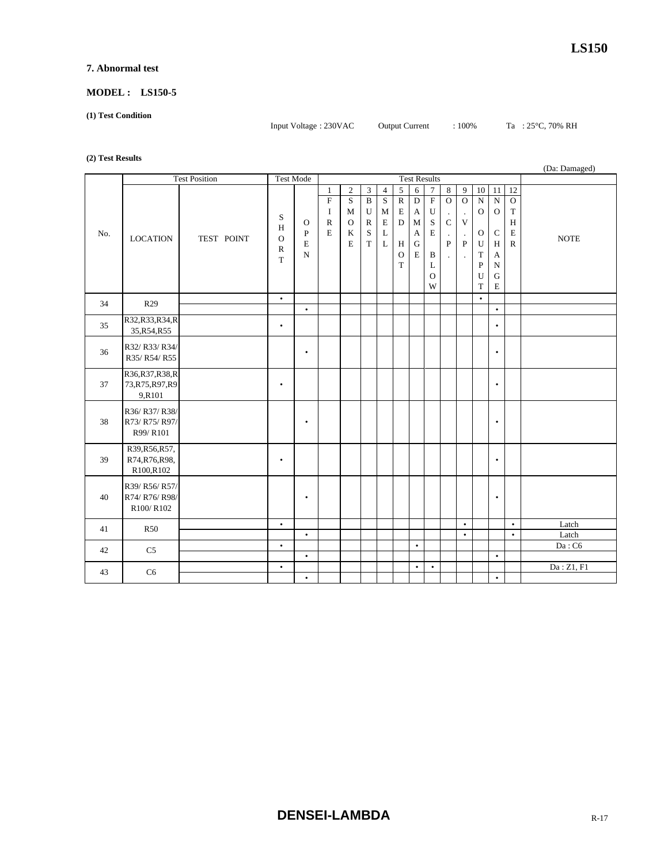#### **7. Abnormal test**

#### **MODEL : LS150-5**

**(1) Test Condition** 

```
Input Voltage : 230VAC Output Current : 100% Ta : 25°C, 70% RH
```
#### **(2) Test Results**

| $\sim$ $\prime$ | (Da: Damaged)                                 |            |                                         |                                                  |                                                                    |                                                          |                                                                                  |                                                                |                                                                            |                                                                             |                                                                                                                     |                                                                                               |                                                                                                   |                                                                                       |                                                                                                      |                                                                        |                |
|-----------------|-----------------------------------------------|------------|-----------------------------------------|--------------------------------------------------|--------------------------------------------------------------------|----------------------------------------------------------|----------------------------------------------------------------------------------|----------------------------------------------------------------|----------------------------------------------------------------------------|-----------------------------------------------------------------------------|---------------------------------------------------------------------------------------------------------------------|-----------------------------------------------------------------------------------------------|---------------------------------------------------------------------------------------------------|---------------------------------------------------------------------------------------|------------------------------------------------------------------------------------------------------|------------------------------------------------------------------------|----------------|
|                 | <b>Test Position</b>                          |            | <b>Test Mode</b>                        |                                                  | <b>Test Results</b>                                                |                                                          |                                                                                  |                                                                |                                                                            |                                                                             |                                                                                                                     |                                                                                               |                                                                                                   |                                                                                       |                                                                                                      |                                                                        |                |
| No.             | <b>LOCATION</b>                               | TEST POINT | S<br>H<br>$\Omega$<br>$\mathbb{R}$<br>T | $\mathbf{O}$<br>$\, {\bf P}$<br>E<br>$\mathbf N$ | $\mathbf{1}$<br>$\overline{F}$<br>I<br>$\mathbb{R}$<br>$\mathbf E$ | $\overline{2}$<br>S<br>M<br>$\mathbf{O}$<br>$\bf K$<br>E | 3<br>$\overline{B}$<br>$\mathbf U$<br>$\mathbb{R}$<br>$\mathbf S$<br>$\mathbf T$ | $\overline{4}$<br>$\overline{S}$<br>M<br>$\mathbf E$<br>L<br>L | $\sqrt{5}$<br>$\overline{R}$<br>E<br>D<br>H<br>$\mathbf{O}$<br>$\mathbf T$ | $\sqrt{6}$<br>$\overline{D}$<br>$\mathbf{A}$<br>$\mathbf{M}$<br>A<br>G<br>E | $\tau$<br>$\overline{F}$<br>${\bf U}$<br>$\mathbf S$<br>$\mathbf E$<br>$\, {\bf B}$<br>$\mathbf L$<br>$\Omega$<br>W | $\,8\,$<br>$\overline{O}$<br>$\cdot$<br>$\mathbf C$<br>$\cdot$<br>${\bf P}$<br>$\overline{a}$ | 9<br>$\overline{O}$<br>$\cdot$<br>$\mathbf{V}$<br>$\cdot$<br>$\mathbf{P}$<br>$\ddot{\phantom{a}}$ | 10<br>$\mathbf N$<br>$\mathbf{O}$<br>$\mathbf{O}$<br>U<br>T<br>$\mathbf{P}$<br>U<br>T | 11<br>${\bf N}$<br>$\mathbf{O}$<br>$\mathsf{C}$<br>H<br>A<br>${\bf N}$<br>$\mathbf G$<br>$\mathbf E$ | 12<br>$\mathbf{O}$<br>$\mathbf T$<br>$\, {\rm H}$<br>E<br>$\mathbb{R}$ | <b>NOTE</b>    |
| 34              | R <sub>29</sub>                               |            | $\bullet$                               | $\bullet$                                        |                                                                    |                                                          |                                                                                  |                                                                |                                                                            |                                                                             |                                                                                                                     |                                                                                               |                                                                                                   | $\bullet$                                                                             | $\bullet$                                                                                            |                                                                        |                |
| 35              | R32,R33,R34,R<br>35, R54, R55                 |            | $\bullet$                               |                                                  |                                                                    |                                                          |                                                                                  |                                                                |                                                                            |                                                                             |                                                                                                                     |                                                                                               |                                                                                                   |                                                                                       | $\bullet$                                                                                            |                                                                        |                |
| 36              | R32/R33/R34/<br>R35/R54/R55                   |            |                                         | $\bullet$                                        |                                                                    |                                                          |                                                                                  |                                                                |                                                                            |                                                                             |                                                                                                                     |                                                                                               |                                                                                                   |                                                                                       | $\bullet$                                                                                            |                                                                        |                |
| 37              | R36,R37,R38,R<br>73, R75, R97, R9<br>9,R101   |            | $\bullet$                               |                                                  |                                                                    |                                                          |                                                                                  |                                                                |                                                                            |                                                                             |                                                                                                                     |                                                                                               |                                                                                                   |                                                                                       | $\bullet$                                                                                            |                                                                        |                |
| 38              | R36/R37/R38/<br>R73/ R75/ R97/<br>R99/R101    |            |                                         | $\bullet$                                        |                                                                    |                                                          |                                                                                  |                                                                |                                                                            |                                                                             |                                                                                                                     |                                                                                               |                                                                                                   |                                                                                       | $\bullet$                                                                                            |                                                                        |                |
| 39              | R39, R56, R57,<br>R74, R76, R98,<br>R100,R102 |            | $\bullet$                               |                                                  |                                                                    |                                                          |                                                                                  |                                                                |                                                                            |                                                                             |                                                                                                                     |                                                                                               |                                                                                                   |                                                                                       | $\bullet$                                                                                            |                                                                        |                |
| 40              | R39/ R56/ R57/<br>R74/ R76/ R98/<br>R100/R102 |            |                                         | $\bullet$                                        |                                                                    |                                                          |                                                                                  |                                                                |                                                                            |                                                                             |                                                                                                                     |                                                                                               |                                                                                                   |                                                                                       | $\bullet$                                                                                            |                                                                        |                |
| 41              | <b>R50</b>                                    |            | $\bullet$                               | $\bullet$                                        |                                                                    |                                                          |                                                                                  |                                                                |                                                                            |                                                                             |                                                                                                                     |                                                                                               | $\bullet$<br>$\bullet$                                                                            |                                                                                       |                                                                                                      | $\bullet$<br>$\bullet$                                                 | Latch<br>Latch |
| 42              | C <sub>5</sub>                                |            | $\bullet$                               | $\bullet$                                        |                                                                    |                                                          |                                                                                  |                                                                |                                                                            | $\bullet$                                                                   |                                                                                                                     |                                                                                               |                                                                                                   |                                                                                       | $\bullet$                                                                                            |                                                                        | $Da:$ C6       |
|                 |                                               |            | $\bullet$                               |                                                  |                                                                    |                                                          |                                                                                  |                                                                |                                                                            | $\bullet$                                                                   | $\bullet$                                                                                                           |                                                                                               |                                                                                                   |                                                                                       |                                                                                                      |                                                                        | Da: Z1, F1     |
| 43              | C <sub>6</sub>                                |            |                                         | $\bullet$                                        |                                                                    |                                                          |                                                                                  |                                                                |                                                                            |                                                                             |                                                                                                                     |                                                                                               |                                                                                                   |                                                                                       | $\bullet$                                                                                            |                                                                        |                |